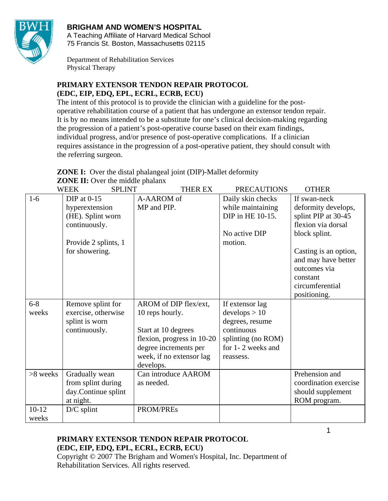

# **BRIGHAM AND WOMEN'S HOSPITAL**

A Teaching Affiliate of Harvard Medical School 75 Francis St. Boston, Massachusetts 02115

Department of Rehabilitation Services Physical Therapy

# **PRIMARY EXTENSOR TENDON REPAIR PROTOCOL (EDC, EIP, EDQ, EPL, ECRL, ECRB, ECU)**

The intent of this protocol is to provide the clinician with a guideline for the postoperative rehabilitation course of a patient that has undergone an extensor tendon repair. It is by no means intended to be a substitute for one's clinical decision-making regarding the progression of a patient's post-operative course based on their exam findings, individual progress, and/or presence of post-operative complications. If a clinician requires assistance in the progression of a post-operative patient, they should consult with the referring surgeon.

**ZONE I:** Over the distal phalangeal joint (DIP)-Mallet deformity **ZONE II:** Over the middle phalanx

|           | <b>SPLINT</b><br><b>WEEK</b> | THER EX                    | <b>PRECAUTIONS</b> | <b>OTHER</b>          |
|-----------|------------------------------|----------------------------|--------------------|-----------------------|
| $1-6$     | $DIP$ at 0-15                | A-AAROM of                 | Daily skin checks  | If swan-neck          |
|           | hyperextension               | MP and PIP.                | while maintaining  | deformity develops,   |
|           | (HE). Splint worn            |                            | DIP in HE 10-15.   | splint PIP at 30-45   |
|           | continuously.                |                            |                    | flexion via dorsal    |
|           |                              |                            | No active DIP      | block splint.         |
|           | Provide 2 splints, 1         |                            | motion.            |                       |
|           | for showering.               |                            |                    | Casting is an option, |
|           |                              |                            |                    | and may have better   |
|           |                              |                            |                    | outcomes via          |
|           |                              |                            |                    | constant              |
|           |                              |                            |                    | circumferential       |
|           |                              |                            |                    | positioning.          |
| $6 - 8$   | Remove splint for            | AROM of DIP flex/ext,      | If extensor lag    |                       |
| weeks     | exercise, otherwise          | 10 reps hourly.            | develops > 10      |                       |
|           | splint is worn               |                            | degrees, resume    |                       |
|           | continuously.                | Start at 10 degrees        | continuous         |                       |
|           |                              | flexion, progress in 10-20 | splinting (no ROM) |                       |
|           |                              | degree increments per      | for 1-2 weeks and  |                       |
|           |                              | week, if no extensor lag   | reassess.          |                       |
|           |                              | develops.                  |                    |                       |
| >8 weeks  | Gradually wean               | Can introduce AAROM        |                    | Prehension and        |
|           | from splint during           | as needed.                 |                    | coordination exercise |
|           | day.Continue splint          |                            |                    | should supplement     |
|           | at night.                    |                            |                    | ROM program.          |
| $10 - 12$ | $D/C$ splint                 | PROM/PREs                  |                    |                       |
| weeks     |                              |                            |                    |                       |

# **PRIMARY EXTENSOR TENDON REPAIR PROTOCOL (EDC, EIP, EDQ, EPL, ECRL, ECRB, ECU)**

Copyright © 2007 The Brigham and Women's Hospital, Inc. Department of Rehabilitation Services. All rights reserved.

1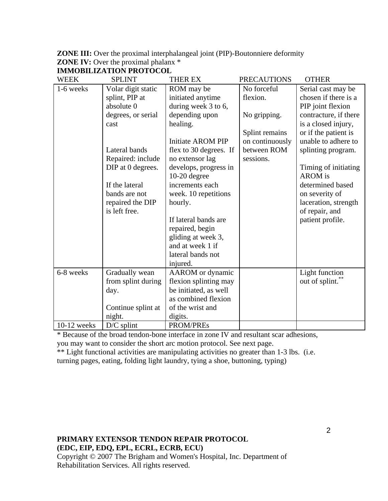| <b>ZONE III:</b> Over the proximal interphalangeal joint (PIP)-Boutonniere deformity |
|--------------------------------------------------------------------------------------|
| <b>ZONE IV:</b> Over the proximal phalanx $*$                                        |
| IMMORILIZATION PROTOCOL                                                              |

| WEEK          | <b>SPLINT</b>      | <b>THER EX</b>         | <b>PRECAUTIONS</b> | <b>OTHER</b>          |
|---------------|--------------------|------------------------|--------------------|-----------------------|
| 1-6 weeks     | Volar digit static | ROM may be             | No forceful        | Serial cast may be    |
|               | splint, PIP at     | initiated anytime      | flexion.           | chosen if there is a  |
|               | absolute 0         | during week 3 to 6,    |                    | PIP joint flexion     |
|               | degrees, or serial | depending upon         | No gripping.       | contracture, if there |
|               | cast               | healing.               |                    | is a closed injury,   |
|               |                    |                        | Splint remains     | or if the patient is  |
|               |                    | Initiate AROM PIP      | on continuously    | unable to adhere to   |
|               | Lateral bands      | flex to 30 degrees. If | between ROM        | splinting program.    |
|               | Repaired: include  | no extensor lag        | sessions.          |                       |
|               | DIP at 0 degrees.  | develops, progress in  |                    | Timing of initiating  |
|               |                    | $10-20$ degree         |                    | <b>AROM</b> is        |
|               | If the lateral     | increments each        |                    | determined based      |
|               | bands are not      | week. 10 repetitions   |                    | on severity of        |
|               | repaired the DIP   | hourly.                |                    | laceration, strength  |
|               | is left free.      |                        |                    | of repair, and        |
|               |                    | If lateral bands are   |                    | patient profile.      |
|               |                    | repaired, begin        |                    |                       |
|               |                    | gliding at week 3,     |                    |                       |
|               |                    | and at week 1 if       |                    |                       |
|               |                    | lateral bands not      |                    |                       |
|               |                    | injured.               |                    |                       |
| 6-8 weeks     | Gradually wean     | AAROM or dynamic       |                    | Light function        |
|               | from splint during | flexion splinting may  |                    | out of splint.        |
|               | day.               | be initiated, as well  |                    |                       |
|               |                    | as combined flexion    |                    |                       |
|               | Continue splint at | of the wrist and       |                    |                       |
|               | night.             | digits.                |                    |                       |
| $10-12$ weeks | $D/C$ splint       | <b>PROM/PREs</b>       |                    |                       |

\* Because of the broad tendon-bone interface in zone IV and resultant scar adhesions,

you may want to consider the short arc motion protocol. See next page.

\*\* Light functional activities are manipulating activities no greater than 1-3 lbs. (i.e. turning pages, eating, folding light laundry, tying a shoe, buttoning, typing)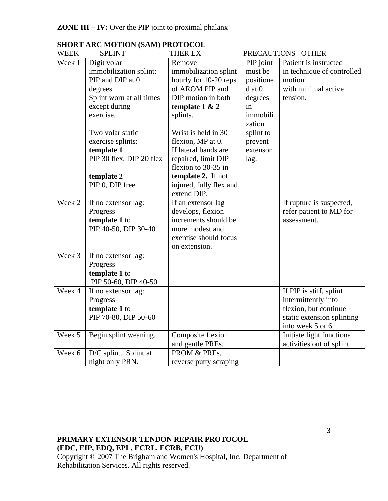| <b>WEEK</b> | <b>SPLINT</b>            | <b>THER EX</b>          |            | PRECAUTIONS OTHER          |
|-------------|--------------------------|-------------------------|------------|----------------------------|
| Week 1      | Digit volar              | Remove                  | PIP joint  | Patient is instructed      |
|             | immobilization splint:   | immobilization splint   | must be    | in technique of controlled |
|             | PIP and DIP at 0         | hourly for 10-20 reps   | positione  | motion                     |
|             | degrees.                 | of AROM PIP and         | $d$ at $0$ | with minimal active        |
|             | Splint worn at all times | DIP motion in both      | degrees    | tension.                   |
|             | except during            | template $1 & 2$        | in         |                            |
|             | exercise.                | splints.                | immobili   |                            |
|             |                          |                         | zation     |                            |
|             | Two volar static         | Wrist is held in 30     | splint to  |                            |
|             | exercise splints:        | flexion, MP at 0.       | prevent    |                            |
|             | template 1               | If lateral bands are    | extensor   |                            |
|             | PIP 30 flex, DIP 20 flex | repaired, limit DIP     | lag.       |                            |
|             |                          | flexion to 30-35 in     |            |                            |
|             | template 2               | template 2. If not      |            |                            |
|             | PIP 0, DIP free          | injured, fully flex and |            |                            |
|             |                          | extend DIP.             |            |                            |
| Week 2      | If no extensor lag:      | If an extensor lag      |            | If rupture is suspected,   |
|             | Progress                 | develops, flexion       |            | refer patient to MD for    |
|             | template 1 to            | increments should be    |            | assessment.                |
|             | PIP 40-50, DIP 30-40     | more modest and         |            |                            |
|             |                          | exercise should focus   |            |                            |
|             |                          | on extension.           |            |                            |
| Week 3      | If no extensor lag:      |                         |            |                            |
|             | Progress                 |                         |            |                            |
|             | template 1 to            |                         |            |                            |
|             | PIP 50-60, DIP 40-50     |                         |            |                            |
| Week 4      | If no extensor lag:      |                         |            | If PIP is stiff, splint    |
|             | Progress                 |                         |            | intermittently into        |
|             | template 1 to            |                         |            | flexion, but continue      |
|             | PIP 70-80, DIP 50-60     |                         |            | static extension splinting |
|             |                          |                         |            | into week 5 or 6.          |
| Week 5      | Begin splint weaning.    | Composite flexion       |            | Initiate light functional  |
|             |                          | and gentle PREs.        |            | activities out of splint.  |
| Week 6      | D/C splint. Splint at    | PROM & PREs,            |            |                            |
|             | night only PRN.          | reverse putty scraping  |            |                            |

# **SHORT ARC MOTION (SAM) PROTOCOL**<br>WEEK SPLINT THER EX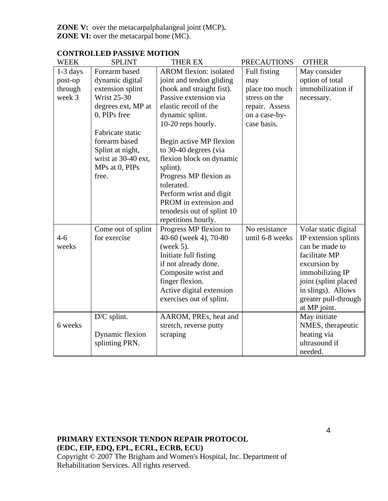**ZONE V:** over the metacarpalphalangeal joint (MCP)**. ZONE VI:** over the metacarpal bone (MC).

| <b>WEEK</b> | <b>SPLINT</b>       | THER EX                       | <b>PRECAUTIONS</b> | <b>OTHER</b>         |
|-------------|---------------------|-------------------------------|--------------------|----------------------|
| 1-3 days    | Forearm based       | <b>AROM</b> flexion: isolated | Full fisting       | May consider         |
| post-op     | dynamic digital     | joint and tendon gliding      | may                | option of total      |
| through     | extension splint    | (hook and straight fist).     | place too much     | immobilization if    |
| week 3      | <b>Wrist 25-30</b>  | Passive extension via         | stress on the      | necessary.           |
|             | degrees ext, MP at  | elastic recoil of the         | repair. Assess     |                      |
|             | 0, PIPs free        | dynamic splint.               | on a case-by-      |                      |
|             |                     | 10-20 reps hourly.            | case basis.        |                      |
|             | Fabricate static    |                               |                    |                      |
|             | forearm based       | Begin active MP flexion       |                    |                      |
|             | Splint at night,    | to 30-40 degrees (via         |                    |                      |
|             | wrist at 30-40 ext, | flexion block on dynamic      |                    |                      |
|             | MPs at 0, PIPs      | splint).                      |                    |                      |
|             | free.               | Progress MP flexion as        |                    |                      |
|             |                     | tolerated.                    |                    |                      |
|             |                     | Perform wrist and digit       |                    |                      |
|             |                     | PROM in extension and         |                    |                      |
|             |                     | tenodesis out of splint 10    |                    |                      |
|             |                     | repetitions hourly.           |                    |                      |
|             | Come out of splint  | Progress MP flexion to        | No resistance      | Volar static digital |
| $4 - 6$     | for exercise        | 40-60 (week 4), 70-80         | until 6-8 weeks    | IP extension splints |
| weeks       |                     | (week $5$ ).                  |                    | can be made to       |
|             |                     | Initiate full fisting         |                    | facilitate MP        |
|             |                     | if not already done.          |                    | excursion by         |
|             |                     | Composite wrist and           |                    | immobilizing IP      |
|             |                     | finger flexion.               |                    | joint (splint placed |
|             |                     | Active digital extension      |                    | in slings). Allows   |
|             |                     | exercises out of splint.      |                    | greater pull-through |
|             |                     |                               |                    | at MP joint.         |
|             | D/C splint.         | AAROM, PREs, heat and         |                    | May initiate         |
| 6 weeks     |                     | stretch, reverse putty        |                    | NMES, therapeutic    |
|             | Dynamic flexion     | scraping                      |                    | heating via          |
|             | splinting PRN.      |                               |                    | ultrasound if        |
|             |                     |                               |                    | needed.              |

# **CONTROLLED PASSIVE MOTION**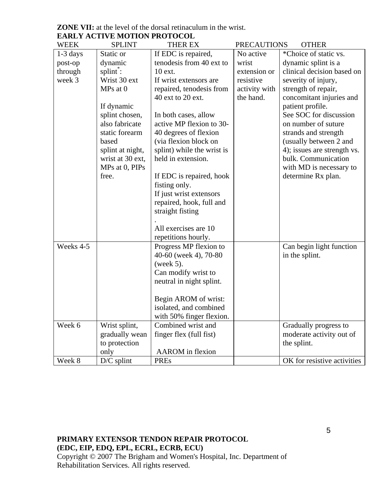| <b>WEEK</b> | <b>SPLINT</b>    | THER EX                                        | <b>PRECAUTIONS</b> | <b>OTHER</b>                |
|-------------|------------------|------------------------------------------------|--------------------|-----------------------------|
| $1-3$ days  | Static or        | If EDC is repaired,                            | No active          | *Choice of static vs.       |
| post-op     | dynamic          | tenodesis from 40 ext to                       | wrist              | dynamic splint is a         |
| through     | splint:          | 10 ext.                                        | extension or       | clinical decision based on  |
| week 3      | Wrist 30 ext     | If wrist extensors are                         | resistive          | severity of injury,         |
|             | MPs at 0         | repaired, tenodesis from                       | activity with      | strength of repair,         |
|             |                  | 40 ext to 20 ext.                              | the hand.          | concomitant injuries and    |
|             | If dynamic       |                                                |                    | patient profile.            |
|             | splint chosen,   | In both cases, allow                           |                    | See SOC for discussion      |
|             | also fabricate   | active MP flexion to 30-                       |                    | on number of suture         |
|             | static forearm   | 40 degrees of flexion                          |                    | strands and strength        |
|             | based            | (via flexion block on                          |                    | (usually between 2 and      |
|             | splint at night, | splint) while the wrist is                     |                    | 4); issues are strength vs. |
|             | wrist at 30 ext, | held in extension.                             |                    | bulk. Communication         |
|             | MPs at 0, PIPs   |                                                |                    | with MD is necessary to     |
|             | free.            | If EDC is repaired, hook                       |                    | determine Rx plan.          |
|             |                  | fisting only.                                  |                    |                             |
|             |                  | If just wrist extensors                        |                    |                             |
|             |                  | repaired, hook, full and                       |                    |                             |
|             |                  | straight fisting                               |                    |                             |
|             |                  |                                                |                    |                             |
|             |                  | All exercises are 10                           |                    |                             |
|             |                  | repetitions hourly.                            |                    |                             |
| Weeks 4-5   |                  | Progress MP flexion to                         |                    | Can begin light function    |
|             |                  | 40-60 (week 4), 70-80                          |                    | in the splint.              |
|             |                  | (week $5$ ).                                   |                    |                             |
|             |                  | Can modify wrist to                            |                    |                             |
|             |                  | neutral in night splint.                       |                    |                             |
|             |                  |                                                |                    |                             |
|             |                  | Begin AROM of wrist:                           |                    |                             |
|             |                  | isolated, and combined                         |                    |                             |
|             |                  | with 50% finger flexion.<br>Combined wrist and |                    |                             |
| Week 6      | Wrist splint,    |                                                |                    | Gradually progress to       |
|             | gradually wean   | finger flex (full fist)                        |                    | moderate activity out of    |
|             | to protection    |                                                |                    | the splint.                 |
|             | only             | <b>AAROM</b> in flexion                        |                    |                             |
| Week 8      | $D/C$ splint     | <b>PREs</b>                                    |                    | OK for resistive activities |

**ZONE VII:** at the level of the dorsal retinaculum in the wrist. **EARLY ACTIVE MOTION PROTOCOL**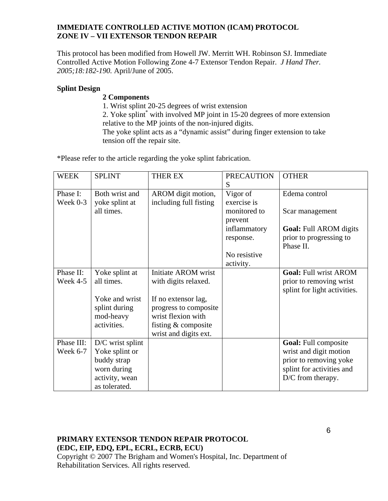### **IMMEDIATE CONTROLLED ACTIVE MOTION (ICAM) PROTOCOL ZONE IV – VII EXTENSOR TENDON REPAIR**

This protocol has been modified from Howell JW. Merritt WH. Robinson SJ. Immediate Controlled Active Motion Following Zone 4-7 Extensor Tendon Repair. *J Hand Ther. 2005;18:182-190.* April/June of 2005.

#### **Splint Design**

### **2 Components**

1. Wrist splint 20-25 degrees of wrist extension

2. Yoke splint<sup>\*</sup> with involved MP joint in 15-20 degrees of more extension relative to the MP joints of the non-injured digits.

The yoke splint acts as a "dynamic assist" during finger extension to take tension off the repair site.

\*Please refer to the article regarding the yoke splint fabrication.

| <b>WEEK</b> | <b>SPLINT</b>      | THER EX                | <b>PRECAUTION</b> | <b>OTHER</b>                  |
|-------------|--------------------|------------------------|-------------------|-------------------------------|
|             |                    |                        | S                 |                               |
| Phase I:    | Both wrist and     | AROM digit motion,     | Vigor of          | Edema control                 |
| Week $0-3$  | yoke splint at     | including full fisting | exercise is       |                               |
|             | all times.         |                        | monitored to      | Scar management               |
|             |                    |                        | prevent           |                               |
|             |                    |                        | inflammatory      | <b>Goal:</b> Full AROM digits |
|             |                    |                        | response.         | prior to progressing to       |
|             |                    |                        |                   | Phase II.                     |
|             |                    |                        | No resistive      |                               |
|             |                    |                        | activity.         |                               |
| Phase II:   | Yoke splint at     | Initiate AROM wrist    |                   | <b>Goal: Full wrist AROM</b>  |
| Week 4-5    | all times.         | with digits relaxed.   |                   | prior to removing wrist       |
|             |                    |                        |                   | splint for light activities.  |
|             | Yoke and wrist     | If no extensor lag,    |                   |                               |
|             | splint during      | progress to composite  |                   |                               |
|             | mod-heavy          | wrist flexion with     |                   |                               |
|             | activities.        | fisting & composite    |                   |                               |
|             |                    | wrist and digits ext.  |                   |                               |
| Phase III:  | $D/C$ wrist splint |                        |                   | <b>Goal:</b> Full composite   |
| Week 6-7    | Yoke splint or     |                        |                   | wrist and digit motion        |
|             | buddy strap        |                        |                   | prior to removing yoke        |
|             | worn during        |                        |                   | splint for activities and     |
|             | activity, wean     |                        |                   | $D/C$ from therapy.           |
|             | as tolerated.      |                        |                   |                               |

# **PRIMARY EXTENSOR TENDON REPAIR PROTOCOL (EDC, EIP, EDQ, EPL, ECRL, ECRB, ECU)**

Copyright © 2007 The Brigham and Women's Hospital, Inc. Department of Rehabilitation Services. All rights reserved.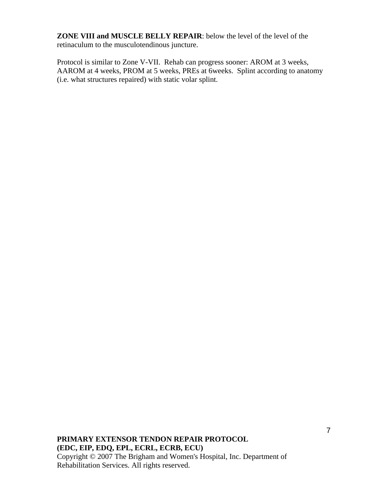**ZONE VIII and MUSCLE BELLY REPAIR**: below the level of the level of the retinaculum to the musculotendinous juncture.

Protocol is similar to Zone V-VII. Rehab can progress sooner: AROM at 3 weeks, AAROM at 4 weeks, PROM at 5 weeks, PREs at 6weeks. Splint according to anatomy (i.e. what structures repaired) with static volar splint.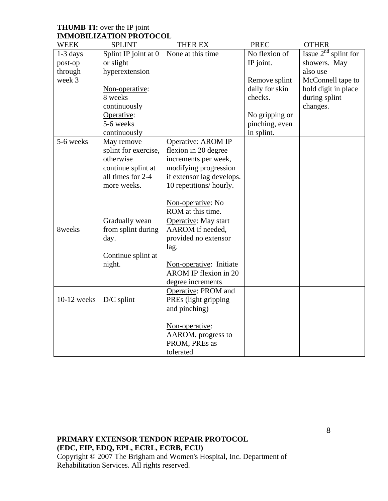| <b>THUMB TI:</b> over the IP joint |  |
|------------------------------------|--|
| <b>IMMOBILIZATION PROTOCOL</b>     |  |

| <b>WEEK</b>   | <b>SPLINT</b>        | THER EX                                          | <b>PREC</b>    | <b>OTHER</b>           |
|---------------|----------------------|--------------------------------------------------|----------------|------------------------|
| 1-3 days      | Splint IP joint at 0 | None at this time                                | No flexion of  | Issue $2nd$ splint for |
| post-op       | or slight            |                                                  | IP joint.      | showers. May           |
| through       | hyperextension       |                                                  |                | also use               |
| week 3        |                      |                                                  | Remove splint  | McConnell tape to      |
|               | Non-operative:       |                                                  | daily for skin | hold digit in place    |
|               | 8 weeks              |                                                  | checks.        | during splint          |
|               | continuously         |                                                  |                | changes.               |
|               | Operative:           |                                                  | No gripping or |                        |
|               | 5-6 weeks            |                                                  | pinching, even |                        |
|               | continuously         |                                                  | in splint.     |                        |
| 5-6 weeks     | May remove           | Operative: AROM IP                               |                |                        |
|               | splint for exercise, | flexion in 20 degree                             |                |                        |
|               | otherwise            | increments per week,                             |                |                        |
|               | continue splint at   | modifying progression                            |                |                        |
|               | all times for 2-4    | if extensor lag develops.                        |                |                        |
|               | more weeks.          | 10 repetitions/hourly.                           |                |                        |
|               |                      |                                                  |                |                        |
|               |                      | Non-operative: No                                |                |                        |
|               |                      | ROM at this time.                                |                |                        |
|               | Gradually wean       | Operative: May start                             |                |                        |
| 8weeks        | from splint during   | AAROM if needed,                                 |                |                        |
|               | day.                 | provided no extensor                             |                |                        |
|               |                      | lag.                                             |                |                        |
|               | Continue splint at   |                                                  |                |                        |
|               | night.               | Non-operative: Initiate<br>AROM IP flexion in 20 |                |                        |
|               |                      | degree increments                                |                |                        |
|               |                      | Operative: PROM and                              |                |                        |
| $10-12$ weeks | $D/C$ splint         | PREs (light gripping                             |                |                        |
|               |                      | and pinching)                                    |                |                        |
|               |                      |                                                  |                |                        |
|               |                      | Non-operative:                                   |                |                        |
|               |                      | AAROM, progress to                               |                |                        |
|               |                      | PROM, PREs as                                    |                |                        |
|               |                      | tolerated                                        |                |                        |
|               |                      |                                                  |                |                        |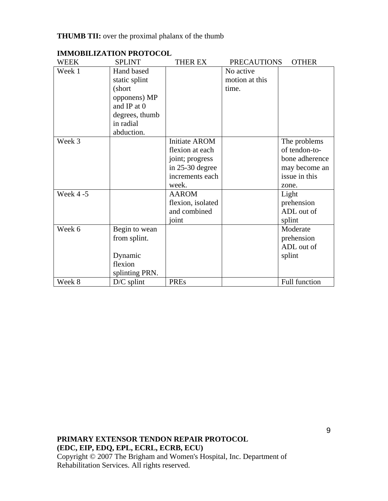# **THUMB TII:** over the proximal phalanx of the thumb

| WEEK      | <b>SPLINT</b>  | THER EX           | <b>PRECAUTIONS</b> | <b>OTHER</b>   |
|-----------|----------------|-------------------|--------------------|----------------|
| Week 1    | Hand based     |                   | No active          |                |
|           | static splint  |                   | motion at this     |                |
|           | (short         |                   | time.              |                |
|           | opponens) MP   |                   |                    |                |
|           | and IP at 0    |                   |                    |                |
|           | degrees, thumb |                   |                    |                |
|           | in radial      |                   |                    |                |
|           | abduction.     |                   |                    |                |
| Week 3    |                | Initiate AROM     |                    | The problems   |
|           |                | flexion at each   |                    | of tendon-to-  |
|           |                | joint; progress   |                    | bone adherence |
|           |                | in $25-30$ degree |                    | may become an  |
|           |                | increments each   |                    | issue in this  |
|           |                | week.             |                    | zone.          |
| Week 4 -5 |                | <b>AAROM</b>      |                    | Light          |
|           |                | flexion, isolated |                    | prehension     |
|           |                | and combined      |                    | ADL out of     |
|           |                | joint             |                    | splint         |
| Week 6    | Begin to wean  |                   |                    | Moderate       |
|           | from splint.   |                   |                    | prehension     |
|           |                |                   |                    | ADL out of     |
|           | Dynamic        |                   |                    | splint         |
|           | flexion        |                   |                    |                |
|           | splinting PRN. |                   |                    |                |
| Week 8    | $D/C$ splint   | <b>PREs</b>       |                    | Full function  |

### **IMMOBILIZATION PROTOCOL**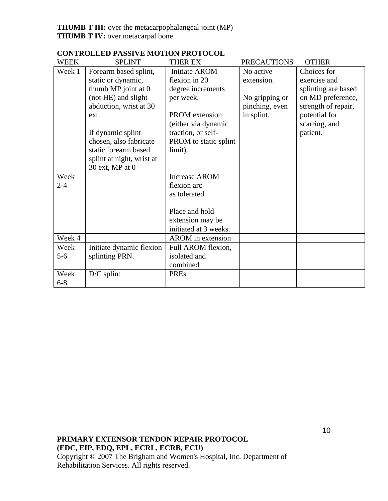| <b>WEEK</b> | <b>SPLINT</b>             | <b>THER EX</b>           | <b>PRECAUTIONS</b> | <b>OTHER</b>        |
|-------------|---------------------------|--------------------------|--------------------|---------------------|
| Week 1      | Forearm based splint,     | <b>Initiate AROM</b>     | No active          | Choices for         |
|             | static or dynamic,        | flexion in 20            | extension.         | exercise and        |
|             | thumb MP joint at 0       | degree increments        |                    | splinting are based |
|             | (not HE) and slight       | per week.                | No gripping or     | on MD preference,   |
|             | abduction, wrist at 30    |                          | pinching, even     | strength of repair, |
|             | ext.                      | <b>PROM</b> extension    | in splint.         | potential for       |
|             |                           | (either via dynamic      |                    | scarring, and       |
|             | If dynamic splint         | traction, or self-       |                    | patient.            |
|             | chosen, also fabricate    | PROM to static splint    |                    |                     |
|             | static forearm based      | limit).                  |                    |                     |
|             | splint at night, wrist at |                          |                    |                     |
|             | 30 ext, MP at 0           |                          |                    |                     |
| Week        |                           | <b>Increase AROM</b>     |                    |                     |
| $2 - 4$     |                           | flexion arc              |                    |                     |
|             |                           | as tolerated.            |                    |                     |
|             |                           |                          |                    |                     |
|             |                           | Place and hold           |                    |                     |
|             |                           | extension may be         |                    |                     |
|             |                           | initiated at 3 weeks.    |                    |                     |
| Week 4      |                           | <b>AROM</b> in extension |                    |                     |
| Week        | Initiate dynamic flexion  | Full AROM flexion,       |                    |                     |
| $5 - 6$     | splinting PRN.            | isolated and             |                    |                     |
|             |                           | combined                 |                    |                     |
| Week        | $D/C$ splint              | <b>PREs</b>              |                    |                     |
| $6 - 8$     |                           |                          |                    |                     |

# **CONTROLLED PASSIVE MOTION PROTOCOL**